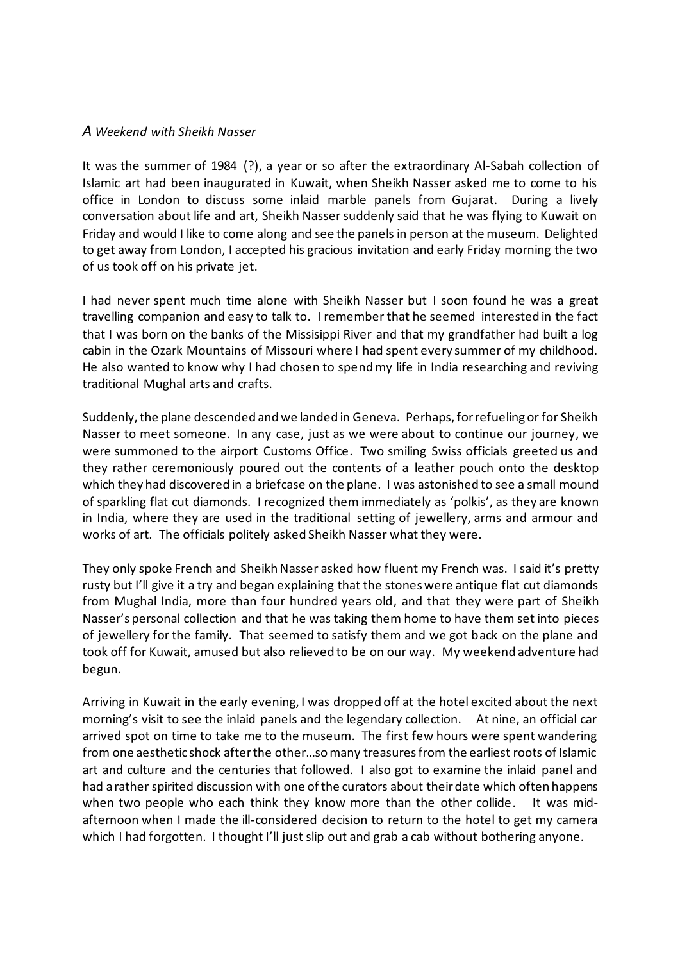## *A Weekend with Sheikh Nasser*

It was the summer of 1984 (?), a year or so after the extraordinary Al-Sabah collection of Islamic art had been inaugurated in Kuwait, when Sheikh Nasser asked me to come to his office in London to discuss some inlaid marble panels from Gujarat. During a lively conversation about life and art, Sheikh Nasser suddenly said that he was flying to Kuwait on Friday and would I like to come along and see the panels in person at the museum. Delighted to get away from London, I accepted his gracious invitation and early Friday morning the two of us took off on his private jet.

I had never spent much time alone with Sheikh Nasser but I soon found he was a great travelling companion and easy to talk to. I remember that he seemed interested in the fact that I was born on the banks of the Missisippi River and that my grandfather had built a log cabin in the Ozark Mountains of Missouri where I had spent every summer of my childhood. He also wanted to know why I had chosen to spend my life in India researching and reviving traditional Mughal arts and crafts.

Suddenly, the plane descended and we landed in Geneva. Perhaps, for refueling or for Sheikh Nasser to meet someone. In any case, just as we were about to continue our journey, we were summoned to the airport Customs Office. Two smiling Swiss officials greeted us and they rather ceremoniously poured out the contents of a leather pouch onto the desktop which they had discovered in a briefcase on the plane. I was astonished to see a small mound of sparkling flat cut diamonds. I recognized them immediately as 'polkis', as they are known in India, where they are used in the traditional setting of jewellery, arms and armour and works of art. The officials politely asked Sheikh Nasser what they were.

They only spoke French and Sheikh Nasser asked how fluent my French was. I said it's pretty rusty but I'll give it a try and began explaining that the stones were antique flat cut diamonds from Mughal India, more than four hundred years old, and that they were part of Sheikh Nasser's personal collection and that he was taking them home to have them set into pieces of jewellery for the family. That seemed to satisfy them and we got back on the plane and took off for Kuwait, amused but also relieved to be on our way. My weekend adventure had begun.

Arriving in Kuwait in the early evening, I was dropped off at the hotel excited about the next morning's visit to see the inlaid panels and the legendary collection. At nine, an official car arrived spot on time to take me to the museum. The first few hours were spent wandering from one aesthetic shock after the other…so many treasures from the earliest roots of Islamic art and culture and the centuries that followed. I also got to examine the inlaid panel and had a rather spirited discussion with one of the curators about their date which often happens when two people who each think they know more than the other collide. It was midafternoon when I made the ill-considered decision to return to the hotel to get my camera which I had forgotten. I thought I'll just slip out and grab a cab without bothering anyone.